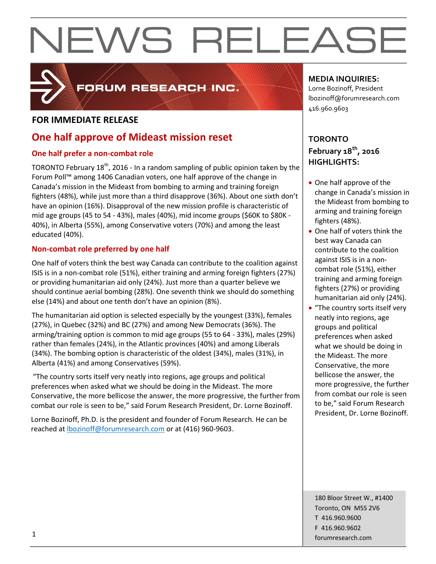

### FORUM RESEARCH INC.

#### **FOR IMMEDIATE RELEASE**

### **One half approve of Mideast mission reset**

#### **One half prefer a non-combat role**

TORONTO February 18<sup>th</sup>, 2016 - In a random sampling of public opinion taken by the Forum Poll™ among 1406 Canadian voters, one half approve of the change in Canada's mission in the Mideast from bombing to arming and training foreign fighters (48%), while just more than a third disapprove (36%). About one sixth don't have an opinion (16%). Disapproval of the new mission profile is characteristic of mid age groups (45 to 54 - 43%), males (40%), mid income groups (\$60K to \$80K - 40%), in Alberta (55%), among Conservative voters (70%) and among the least educated (40%).

#### **Non-combat role preferred by one half**

One half of voters think the best way Canada can contribute to the coalition against ISIS is in a non-combat role (51%), either training and arming foreign fighters (27%) or providing humanitarian aid only (24%). Just more than a quarter believe we should continue aerial bombing (28%). One seventh think we should do something else (14%) and about one tenth don't have an opinion (8%).

The humanitarian aid option is selected especially by the youngest (33%), females (27%), in Quebec (32%) and BC (27%) and among New Democrats (36%). The arming/training option is common to mid age groups (55 to 64 - 33%), males (29%) rather than females (24%), in the Atlantic provinces (40%) and among Liberals (34%). The bombing option is characteristic of the oldest (34%), males (31%), in Alberta (41%) and among Conservatives (59%).

"The country sorts itself very neatly into regions, age groups and political preferences when asked what we should be doing in the Mideast. The more Conservative, the more bellicose the answer, the more progressive, the further from combat our role is seen to be," said Forum Research President, Dr. Lorne Bozinoff.

Lorne Bozinoff, Ph.D. is the president and founder of Forum Research. He can be reached at [lbozinoff@forumresearch.com](mailto:lbozinoff@forumresearch.com) or at (416) 960-9603.

#### **MEDIA INQUIRIES:**

Lorne Bozinoff, President lbozinoff@forumresearch.com 416.960.9603

#### **TORONTO February 18th, 2016 HIGHLIGHTS:**

- One half approve of the change in Canada's mission in the Mideast from bombing to arming and training foreign fighters (48%).
- One half of voters think the best way Canada can contribute to the coalition against ISIS is in a noncombat role (51%), either training and arming foreign fighters (27%) or providing humanitarian aid only (24%).
- "The country sorts itself very neatly into regions, age groups and political preferences when asked what we should be doing in the Mideast. The more Conservative, the more bellicose the answer, the more progressive, the further from combat our role is seen to be," said Forum Research President, Dr. Lorne Bozinoff.

180 Bloor Street W., #1400 Toronto, ON M5S 2V6 T 416.960.9600 F 416.960.9602 forumresearch.com 1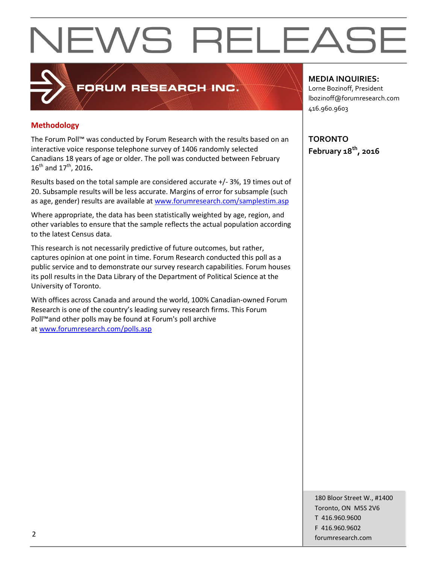#### **Methodology**

The Forum Poll™ was conducted by Forum Research with the results based on an interactive voice response telephone survey of 1406 randomly selected Canadians 18 years of age or older. The poll was conducted between February 16th and 17th, 2016**.**

FORUM RESEARCH INC.

Results based on the total sample are considered accurate +/- 3%, 19 times out of 20. Subsample results will be less accurate. Margins of error for subsample (such as age, gender) results are available at [www.forumresearch.com/samplestim.asp](http://www.forumresearch.com/samplestim.asp)

Where appropriate, the data has been statistically weighted by age, region, and other variables to ensure that the sample reflects the actual population according to the latest Census data.

This research is not necessarily predictive of future outcomes, but rather, captures opinion at one point in time. Forum Research conducted this poll as a public service and to demonstrate our survey research capabilities. Forum houses its poll results in the Data Library of the Department of Political Science at the University of Toronto.

With offices across Canada and around the world, 100% Canadian-owned Forum Research is one of the country's leading survey research firms. This Forum Poll™and other polls may be found at Forum's poll archive at [www.forumresearch.com/polls.asp](http://www.forumresearch.com/polls.asp)

**MEDIA INQUIRIES:**

Lorne Bozinoff, President lbozinoff@forumresearch.com 416.960.9603

**TORONTO February 18th, 2016**

180 Bloor Street W., #1400 Toronto, ON M5S 2V6 T 416.960.9600 F 416.960.9602 example to the contract of the contract of the contract of the contract of the contract of the contract of the contract of the contract of the contract of the contract of the contract of the contract of the contract of the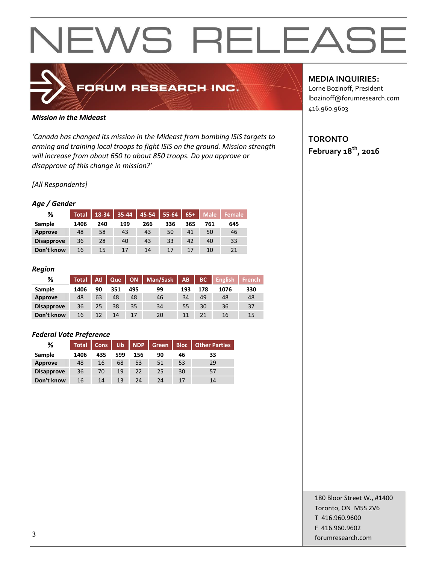### FORUM RESEARCH INC.

#### *Mission in the Mideast*

*'Canada has changed its mission in the Mideast from bombing ISIS targets to arming and training local troops to fight ISIS on the ground. Mission strength will increase from about 650 to about 850 troops. Do you approve or disapprove of this change in mission?'*

#### *[All Respondents]*

#### *Age / Gender*

| %                 | <b>Total</b> | 18-34 | 35-44 | $45 - 54$ | 55-64 | $65+$ | <b>Male</b> | <b>Female</b> |
|-------------------|--------------|-------|-------|-----------|-------|-------|-------------|---------------|
| Sample            | 1406         | 240   | 199   | 266       | 336   | 365   | 761         | 645           |
| <b>Approve</b>    | 48           | 58    | 43    | 43        | 50    | 41    | 50          | 46            |
| <b>Disapprove</b> | 36           | 28    | 40    | 43        | 33    | 42    | 40          | 33            |
| Don't know        | 16           | 15    | 17    | 14        | 17    | 17    | 10          | 21            |

#### *Region*

| %                 | <b>Total</b> | Atl | Que |     | ON   Man/Sask | AB  | BC  | <b>English</b> | <b>French</b> |
|-------------------|--------------|-----|-----|-----|---------------|-----|-----|----------------|---------------|
| Sample            | 1406         | 90  | 351 | 495 | 99            | 193 | 178 | 1076           | 330           |
| Approve           | 48           | 63  | 48  | 48  | 46            | 34  | 49  | 48             | 48            |
| <b>Disapprove</b> | 36           | 25  | 38  | 35  | 34            | 55  | 30  | 36             | 37            |
| Don't know        | 16           | 12  | 14  | 17  | 20            |     |     | 16             | 15            |

#### *Federal Vote Preference*

| ℅                 | <b>Total</b> | Cons | Lib | <b>NDP</b> | Green <b>Z</b> | Bloc | <b>Other Parties</b> |
|-------------------|--------------|------|-----|------------|----------------|------|----------------------|
| Sample            | 1406         | 435  | 599 | 156        | 90             | 46   | 33                   |
| <b>Approve</b>    | 48           | 16   | 68  | 53         | 51             | 53   | 29                   |
| <b>Disapprove</b> | 36           | 70   | 19  | 22         | 25             | 30   | 57                   |
| Don't know        | 16           | 14   | 13  | 24         | 24             | 17   | 14                   |

#### **MEDIA INQUIRIES:**

Lorne Bozinoff, President lbozinoff@forumresearch.com 416.960.9603

#### **TORONTO February 18th, 2016**

180 Bloor Street W., #1400 Toronto, ON M5S 2V6 T 416.960.9600 F 416.960.9602 forumresearch.com and the set of the set of the set of the set of the set of the set of the set of the set of the set of the set of the set of the set of the set of the set of the set of the set of the set of the set of th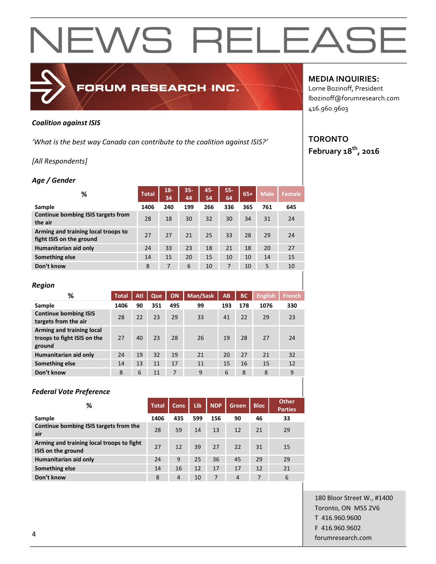#### *Coalition against ISIS*

*'What is the best way Canada can contribute to the coalition against ISIS?'*

FORUM RESEARCH INC.

#### *[All Respondents]*

#### *Age / Gender*

| ℅                                                               | <b>Total</b> | $18 -$<br>34 | $35 -$<br>44 | 45-<br>54 | $55-$<br>64 | $65+$ | <b>Male</b> | <b>Female</b> |
|-----------------------------------------------------------------|--------------|--------------|--------------|-----------|-------------|-------|-------------|---------------|
| Sample                                                          | 1406         | 240          | 199          | 266       | 336         | 365   | 761         | 645           |
| Continue bombing ISIS targets from<br>the air                   | 28           | 18           | 30           | 32        | 30          | 34    | 31          | 24            |
| Arming and training local troops to<br>fight ISIS on the ground | 27           | 27           | 21           | 25        | 33          | 28    | 29          | 24            |
| Humanitarian aid only                                           | 24           | 33           | 23           | 18        | 21          | 18    | 20          | 27            |
| Something else                                                  | 14           | 15           | 20           | 15        | 10          | 10    | 14          | 15            |
| Don't know                                                      | 8            | 7            | 6            | 10        | 7           | 10    | 5           | 10            |

| <b>Region</b>                                                      |              |     |     |     |          |     |           |                |               |
|--------------------------------------------------------------------|--------------|-----|-----|-----|----------|-----|-----------|----------------|---------------|
| %                                                                  | <b>Total</b> | Atl | Que | ON  | Man/Sask | AB  | <b>BC</b> | <b>English</b> | <b>French</b> |
| Sample                                                             | 1406         | 90  | 351 | 495 | 99       | 193 | 178       | 1076           | 330           |
| <b>Continue bombing ISIS</b><br>targets from the air               | 28           | 22  | 23  | 29  | 33       | 41  | 22        | 29             | 23            |
| Arming and training local<br>troops to fight ISIS on the<br>ground | 27           | 40  | 23  | 28  | 26       | 19  | 28        | 27             | 24            |
| Humanitarian aid only                                              | 24           | 19  | 32  | 19  | 21       | 20  | 27        | 21             | 32            |
| Something else                                                     | 14           | 13  | 11  | 17  | 11       | 15  | 16        | 15             | 12            |
| Don't know                                                         | 8            | 6   | 11  | 7   | 9        | 6   | 8         | 8              | 9             |

#### *Federal Vote Preference*

| ℅                                                               | <b>Total</b> | <b>Cons</b>    | Lib | <b>NDP</b> | Green | <b>Bloc</b> | <b>Other</b><br><b>Parties</b> |
|-----------------------------------------------------------------|--------------|----------------|-----|------------|-------|-------------|--------------------------------|
| Sample                                                          | 1406         | 435            | 599 | 156        | 90    | 46          | 33                             |
| Continue bombing ISIS targets from the<br>air                   | 28           | 59             | 14  | 13         | 12    | 21          | 29                             |
| Arming and training local troops to fight<br>ISIS on the ground | 27           | 12             | 39  | 27         | 22    | 31          | 15                             |
| Humanitarian aid only                                           | 24           | 9              | 25  | 36         | 45    | 29          | 29                             |
| Something else                                                  | 14           | 16             | 12  | 17         | 17    | 12          | 21                             |
| Don't know                                                      | 8            | $\overline{4}$ | 10  | 7          | 4     | 7           | 6                              |

#### **MEDIA INQUIRIES:**

Lorne Bozinoff, President lbozinoff@forumresearch.com 416.960.9603

#### **TORONTO February 18th, 2016**

180 Bloor Street W., #1400 Toronto, ON M5S 2V6 T 416.960.9600 F 416.960.9602 example to the contract of the contract of the contract of the contract of the contract of the contract of the contract of the contract of the contract of the contract of the contract of the contract of the contract of the